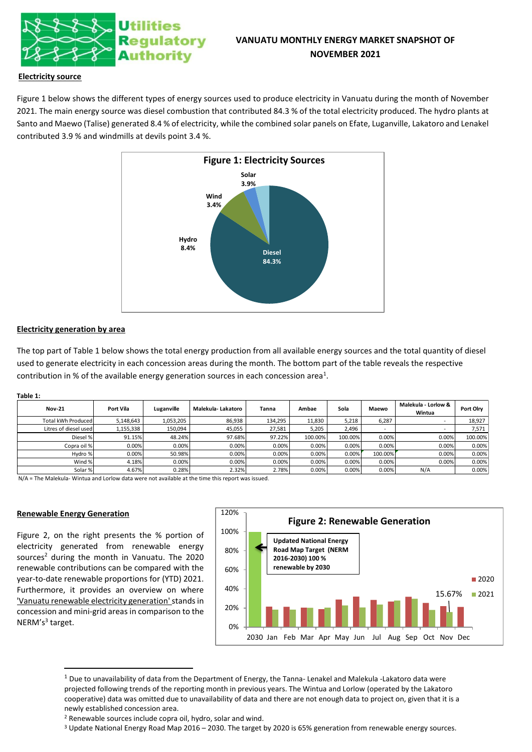

# **VANUATU MONTHLY ENERGY MARKET SNAPSHOT OF NOVEMBER 2021**

## **Electricity source**

Figure 1 below shows the different types of energy sources used to produce electricity in Vanuatu during the month of November 2021. The main energy source was diesel combustion that contributed 84.3 % of the total electricity produced. The hydro plants at Santo and Maewo (Talise) generated 8.4 % of electricity, while the combined solar panels on Efate, Luganville, Lakatoro and Lenakel contributed 3.9 % and windmills at devils point 3.4 %.



### **Electricity generation by area**

The top part of Table 1 below shows the total energy production from all available energy sources and the total quantity of diesel used to generate electricity in each concession areas during the month. The bottom part of the table reveals the respective contribution in % of the available energy generation sources in each concession area<sup>1</sup>.

#### **Table 1:**

| <b>Nov-21</b>         | Port Vila | Luganville | Malekula- Lakatoro | Tanna   | Ambae   | Sola    | Maewo   | Malekula - Lorlow &<br>Wintua | Port Olry |
|-----------------------|-----------|------------|--------------------|---------|---------|---------|---------|-------------------------------|-----------|
| Total kWh Produced    | 5.148.643 | 1,053,205  | 86,938             | 134.295 | 11.830  | 5.218   | 6.287   |                               | 18.927    |
| Litres of diesel used | 1,155,338 | 150.094    | 45,055             | 27.581  | 5,205   | 2.496   | -       |                               | 7.571     |
| Diesel %              | 91.15%    | 48.24%     | 97.68%             | 97.22%  | 100.00% | 100.00% | 0.00%   | 0.00%                         | 100.00%   |
| Copra oil %           | 0.00%     | 0.00%      | 0.00%              | 0.00%   | 0.00%   | 0.00%   | 0.00%   | 0.00%                         | 0.00%     |
| Hydro %               | 0.00%     | 50.98%     | 0.00%              | 0.00%   | 0.00%   | 0.00%   | 100.00% | 0.00%                         | 0.00%     |
| Wind %                | 4.18%     | 0.00%      | 0.00%              | 0.00%   | 0.00%   | 0.00%   | 0.00%   | 0.00%                         | 0.00%     |
| Solar %               | 4.67%     | 0.28%      | 2.32%              | 2.78%   | 0.00%   | 0.00%   | 0.00%   | N/A                           | 0.00%     |

N/A = The Malekula- Wintua and Lorlow data were not available at the time this report was issued.

#### **Renewable Energy Generation**

Figure 2, on the right presents the % portion of electricity generated from renewable energy sources<sup>2</sup> during the month in Vanuatu. The 2020 renewable contributions can be compared with the year-to-date renewable proportions for (YTD) 2021. Furthermore, it provides an overview on where 'Vanuatu renewable electricity generation'stands in concession and mini-grid areas in comparison to the NERM's<sup>3</sup> target.



 $1$  Due to unavailability of data from the Department of Energy, the Tanna- Lenakel and Malekula -Lakatoro data were projected following trends of the reporting month in previous years. The Wintua and Lorlow (operated by the Lakatoro cooperative) data was omitted due to unavailability of data and there are not enough data to project on, given that it is a newly established concession area.

<sup>3</sup> Update National Energy Road Map 2016 – 2030. The target by 2020 is 65% generation from renewable energy sources.

<sup>2</sup> Renewable sources include copra oil, hydro, solar and wind.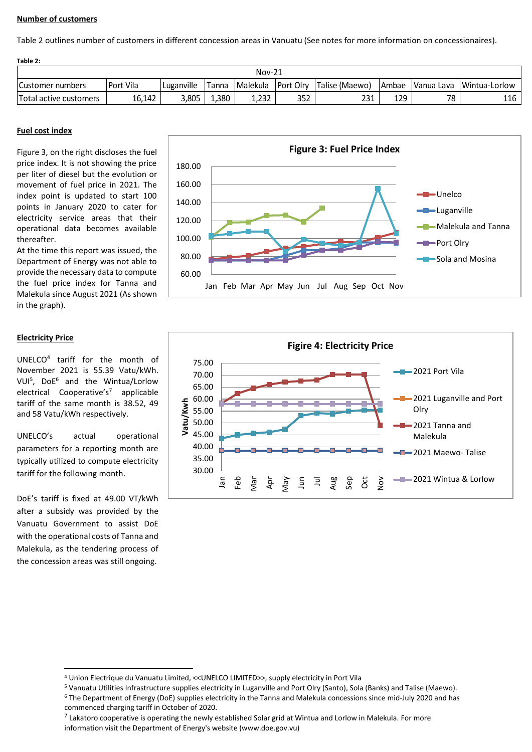# **Number of customers**

Table 2 outlines number of customers in different concession areas in Vanuatu (See notes for more information on concessionaires).

| Table 2:               |           |            |              |          |     |                            |     |                  |               |  |
|------------------------|-----------|------------|--------------|----------|-----|----------------------------|-----|------------------|---------------|--|
| $Nov-21$               |           |            |              |          |     |                            |     |                  |               |  |
| Customer numbers       | Port Vila | Luganville | <b>Tanna</b> | Malekula |     | Port Olry   Talise (Maewo) |     | Ambae Vanua Lava | Wintua-Lorlow |  |
| Total active customers | 16,142    | 3,805      | 1,380        | 1.232    | 352 | 231                        | 129 | 78               | 116           |  |

# **Fuel cost index**

Figure 3, on the right discloses the fuel price index. It is not showing the price per liter of diesel but the evolution or movement of fuel price in 2021. The index point is updated to start 100 points in January 2020 to cater for electricity service areas that their operational data becomes available thereafter.

At the time this report was issued, the Department of Energy was not able to provide the necessary data to compute the fuel price index for Tanna and Malekula since August 2021 (As shown in the graph).

# **Electricity Price**

UNELCO<sup>4</sup> tariff for the month of November 2021 is 55.39 Vatu/kWh. VUI<sup>5</sup> , DoE<sup>6</sup> and the Wintua/Lorlow electrical Cooperative's<sup>7</sup> applicable tariff of the same month is 38.52, 49 and 58 Vatu/kWh respectively.

UNELCO's actual operational parameters for a reporting month are typically utilized to compute electricity tariff for the following month.

DoE's tariff is fixed at 49.00 VT/kWh after a subsidy was provided by the Vanuatu Government to assist DoE with the operational costs of Tanna and Malekula, as the tendering process of the concession areas was still ongoing.





<sup>4</sup> Union Electrique du Vanuatu Limited, <<UNELCO LIMITED>>, supply electricity in Port Vila

<sup>5</sup> Vanuatu Utilities Infrastructure supplies electricity in Luganville and Port Olry (Santo), Sola (Banks) and Talise (Maewo).

<sup>6</sup> The Department of Energy (DoE) supplies electricity in the Tanna and Malekula concessions since mid-July 2020 and has commenced charging tariff in October of 2020.

 $^7$  Lakatoro cooperative is operating the newly established Solar grid at Wintua and Lorlow in Malekula. For more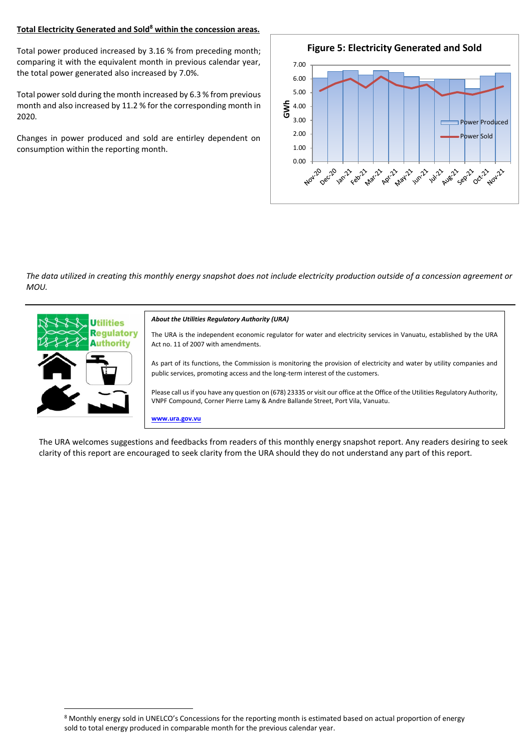# **Total Electricity Generated and Sold<sup>8</sup> within the concession areas.**

Total power produced increased by 3.16 % from preceding month; comparing it with the equivalent month in previous calendar year, the total power generated also increased by 7.0%.

Total power sold during the month increased by 6.3 % from previous month and also increased by 11.2 % for the corresponding month in 2020.

Changes in power produced and sold are entirley dependent on consumption within the reporting month.



*The data utilized in creating this monthly energy snapshot does not include electricity production outside of a concession agreement or MOU.*



#### *About the Utilities Regulatory Authority (URA)*

The URA is the independent economic regulator for water and electricity services in Vanuatu, established by the URA Act no. 11 of 2007 with amendments.

As part of its functions, the Commission is monitoring the provision of electricity and water by utility companies and public services, promoting access and the long-term interest of the customers.

Please call us if you have any question on (678) 23335 or visit our office at the Office of the Utilities Regulatory Authority, VNPF Compound, Corner Pierre Lamy & Andre Ballande Street, Port Vila, Vanuatu.

**www.ura.gov.vu**

The URA welcomes suggestions and feedbacks from readers of this monthly energy snapshot report. Any readers desiring to seek clarity of this report are encouraged to seek clarity from the URA should they do not understand any part of this report.

<sup>8</sup> Monthly energy sold in UNELCO's Concessions for the reporting month is estimated based on actual proportion of energy sold to total energy produced in comparable month for the previous calendar year.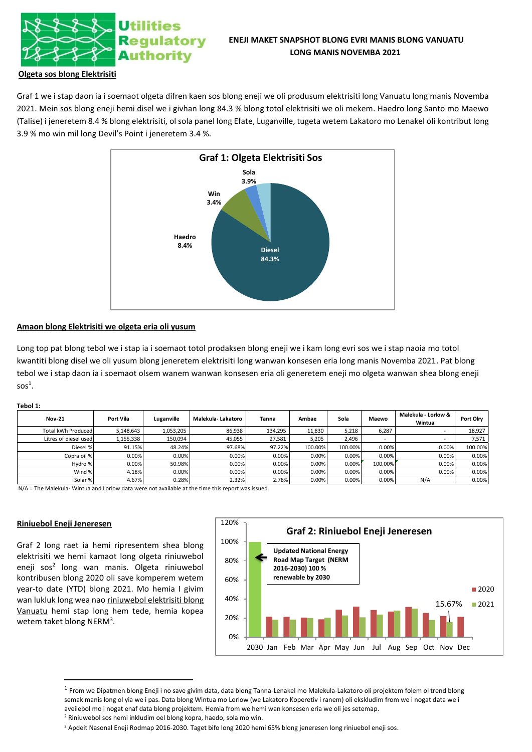

## **Olgeta sos blong Elektrisiti**

Graf 1 we i stap daon ia i soemaot olgeta difren kaen sos blong eneji we oli produsum elektrisiti long Vanuatu long manis Novemba 2021. Mein sos blong eneji hemi disel we i givhan long 84.3 % blong totol elektrisiti we oli mekem. Haedro long Santo mo Maewo (Talise) i jeneretem 8.4 % blong elektrisiti, ol sola panel long Efate, Luganville, tugeta wetem Lakatoro mo Lenakel oli kontribut long 3.9 % mo win mil long Devil's Point i jeneretem 3.4 %.



# **Amaon blong Elektrisiti we olgeta eria oli yusum**

Long top pat blong tebol we i stap ia i soemaot totol prodaksen blong eneji we i kam long evri sos we i stap naoia mo totol kwantiti blong disel we oli yusum blong jeneretem elektrisiti long wanwan konsesen eria long manis Novemba 2021. Pat blong tebol we i stap daon ia i soemaot olsem wanem wanwan konsesen eria oli generetem eneji mo olgeta wanwan shea blong eneji  $s$ os $^1$ .

#### **Tebol 1:**

| <b>Nov-21</b>         | Port Vila | Luganville | Malekula- Lakatoro | Tanna   | Ambae   | Sola    | Maewo                    | Malekula - Lorlow &<br>Wintua | Port Olry |
|-----------------------|-----------|------------|--------------------|---------|---------|---------|--------------------------|-------------------------------|-----------|
| Total kWh Produced    | 5,148,643 | 1,053,205  | 86.938             | 134,295 | 11.830  | 5.218   | 6.287                    |                               | 18,927    |
| Litres of diesel used | 1,155,338 | 150.094    | 45,055             | 27.581  | 5.205   | 2.496   | $\overline{\phantom{a}}$ |                               | 7.571     |
| Diesel %              | 91.15%    | 48.24%     | 97.68%             | 97.22%  | 100.00% | 100.00% | 0.00%                    | 0.00%                         | 100.00%   |
| Copra oil %           | 0.00%     | 0.00%      | 0.00%              | 0.00%   | 0.00%   | 0.00%   | 0.00%                    | 0.00%                         | 0.00%     |
| Hydro %               | 0.00%     | 50.98%     | 0.00%              | 0.00%   | 0.00%   | 0.00%   | 100.00%                  | 0.00%                         | 0.00%     |
| Wind %                | 4.18%     | 0.00%      | 0.00%              | 0.00%   | 0.00%   | 0.00%   | 0.00%                    | 0.00%                         | 0.00%     |
| Solar %               | 4.67%     | 0.28%      | 2.32%              | 2.78%   | 0.00%   | 0.00%   | 0.00%                    | N/A                           | 0.00%     |

N/A = The Malekula- Wintua and Lorlow data were not available at the time this report was issued.

### **Riniuebol Eneji Jeneresen**

Graf 2 long raet ia hemi ripresentem shea blong elektrisiti we hemi kamaot long olgeta riniuwebol eneji sos<sup>2</sup> long wan manis. Olgeta riniuwebol kontribusen blong 2020 oli save komperem wetem year-to date (YTD) blong 2021. Mo hemia I givim wan lukluk long wea nao riniuwebol elektrisiti blong Vanuatu hemi stap long hem tede, hemia kopea wetem taket blong NERM<sup>3</sup>.



<sup>&</sup>lt;sup>1</sup> From we Dipatmen blong Eneji i no save givim data, data blong Tanna-Lenakel mo Malekula-Lakatoro oli projektem folem ol trend blong semak manis long ol yia we i pas. Data blong Wintua mo Lorlow (we Lakatoro Koperetiv i ranem) oli ekskludim from we i nogat data we i aveilebol mo i nogat enaf data blong projektem. Hemia from we hemi wan konsesen eria we oli jes setemap. <sup>2</sup> Riniuwebol sos hemi inkludim oel blong kopra, haedo, sola mo win.

<sup>3</sup> Apdeit Nasonal Eneji Rodmap 2016-2030. Taget bifo long 2020 hemi 65% blong jeneresen long riniuebol eneji sos.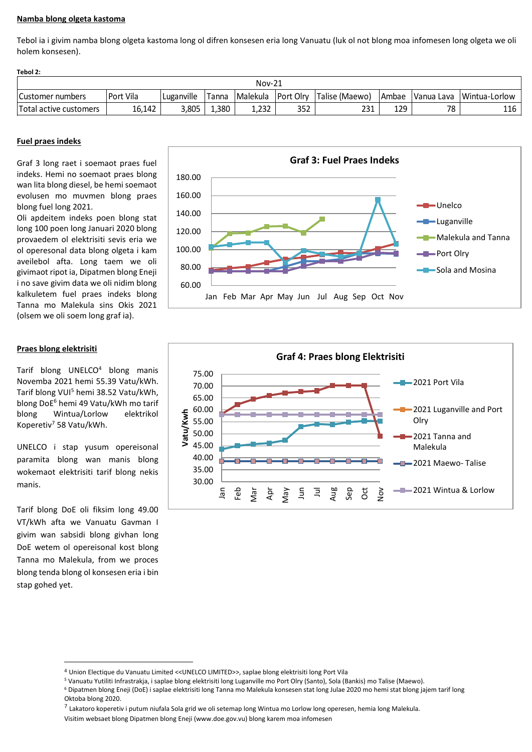# **Namba blong olgeta kastoma**

Tebol ia i givim namba blong olgeta kastoma long ol difren konsesen eria long Vanuatu (luk ol not blong moa infomesen long olgeta we oli holem konsesen).

| Tedol 2:               |           |            |       |                 |           |                |       |             |               |  |  |
|------------------------|-----------|------------|-------|-----------------|-----------|----------------|-------|-------------|---------------|--|--|
| $Nov-21$               |           |            |       |                 |           |                |       |             |               |  |  |
| l Customer numbers     | Port Vila | Luganville | Tanna | <b>Malekula</b> | Port Olrv | Talise (Maewo) | Ambae | IVanua Lava | Wintua-Lorlow |  |  |
| Total active customers | 16,142    | 3,805      | 1,380 | 1,232           | 352       | 231            | 129   | 70          | 116           |  |  |

### **Fuel praes indeks**

**Tebol 2:**

Graf 3 long raet i soemaot praes fuel indeks. Hemi no soemaot praes blong wan lita blong diesel, be hemi soemaot evolusen mo muvmen blong praes blong fuel long 2021.

Oli apdeitem indeks poen blong stat long 100 poen long Januari 2020 blong provaedem ol elektrisiti sevis eria we ol operesonal data blong olgeta i kam aveilebol afta. Long taem we oli givimaot ripot ia, Dipatmen blong Eneji i no save givim data we oli nidim blong kalkuletem fuel praes indeks blong Tanna mo Malekula sins Okis 2021 (olsem we oli soem long graf ia).

# **Praes blong elektrisiti**

Tarif blong UNELCO<sup>4</sup> blong manis Novemba 2021 hemi 55.39 Vatu/kWh. Tarif blong VUI<sup>5</sup> hemi 38.52 Vatu/kWh, blong DoE<sup>6</sup> hemi 49 Vatu/kWh mo tarif blong Wintua/Lorlow elektrikol Koperetiv<sup>7</sup> 58 Vatu/kWh.

UNELCO i stap yusum opereisonal paramita blong wan manis blong wokemaot elektrisiti tarif blong nekis manis.

Tarif blong DoE oli fiksim long 49.00 VT/kWh afta we Vanuatu Gavman I givim wan sabsidi blong givhan long DoE wetem ol opereisonal kost blong Tanna mo Malekula, from we proces blong tenda blong ol konsesen eria i bin stap gohed yet.





<sup>7</sup> Lakatoro koperetiv i putum niufala Sola grid we oli setemap long Wintua mo Lorlow long operesen, hemia long Malekula.

<sup>4</sup> Union Electique du Vanuatu Limited <<UNELCO LIMITED>>, saplae blong elektrisiti long Port Vila

<sup>5</sup> Vanuatu Yutiliti Infrastrakja, i saplae blong elektrisiti long Luganville mo Port Olry (Santo), Sola (Bankis) mo Talise (Maewo).

<sup>6</sup> Dipatmen blong Eneji (DoE) i saplae elektrisiti long Tanna mo Malekula konsesen stat long Julae 2020 mo hemi stat blong jajem tarif long Oktoba blong 2020.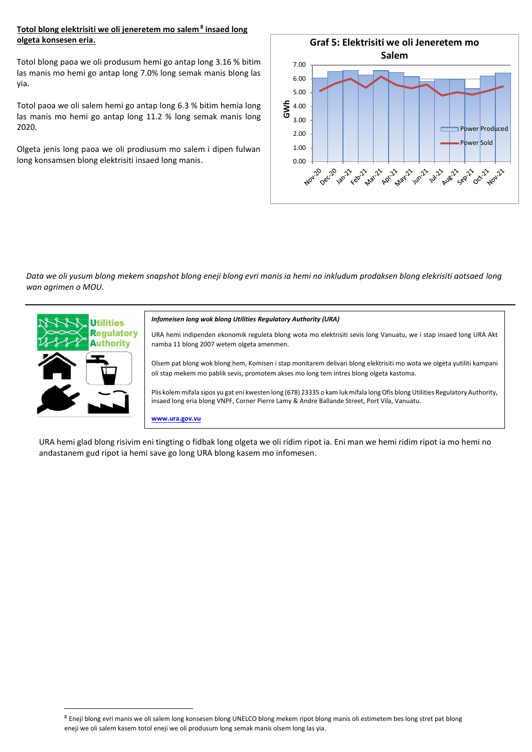# **Totol blong elektrisiti we oli jeneretem mo salem <sup>8</sup> insaed long olgeta konsesen eria.**

Totol blong paoa we oli produsum hemi go antap long 3.16 % bitim las manis mo hemi go antap long 7.0% long semak manis blong las yia.

Totol paoa we oli salem hemi go antap long 6.3 % bitim hemia long las manis mo hemi go antap long 11.2 % long semak manis long 2020.

Olgeta jenis long paoa we oli prodiusum mo salem i dipen fulwan long konsamsen blong elektrisiti insaed long manis.



*Data we oli yusum blong mekem snapshot blong eneji blong evri manis ia hemi no inkludum prodaksen blong elekrisiti aotsaed long wan agrimen o MOU.*



#### *Infomeisen long wok blong Utilities Regulatory Authority (URA)*

URA hemi indipenden ekonomik reguleta blong wota mo elektrisiti sevis long Vanuatu, we i stap insaed long URA Akt namba 11 blong 2007 wetem olgeta amenmen.

Olsem pat blong wok blong hem, Komisen i stap monitarem delivari blong elektrisiti mo wota we olgeta yutiliti kampani oli stap mekem mo pablik sevis, promotem akses mo long tem intres blong olgeta kastoma.

Plis kolem mifala sipos yu gat eni kwesten long (678) 23335 o kam luk mifala long Ofis blong Utilities Regulatory Authority, insaed long eria blong VNPF, Corner Pierre Lamy & Andre Ballande Street, Port Vila, Vanuatu.

**www.ura.gov.vu**

URA hemi glad blong risivim eni tingting o fidbak long olgeta we oli ridim ripot ia. Eni man we hemi ridim ripot ia mo hemi no andastanem gud ripot ia hemi save go long URA blong kasem mo infomesen.

<sup>8</sup> Eneji blong evri manis we oli salem long konsesen blong UNELCO blong mekem ripot blong manis oli estimetem bes long stret pat blong eneji we oli salem kasem totol eneji we oli produsum long semak manis olsem long las yia.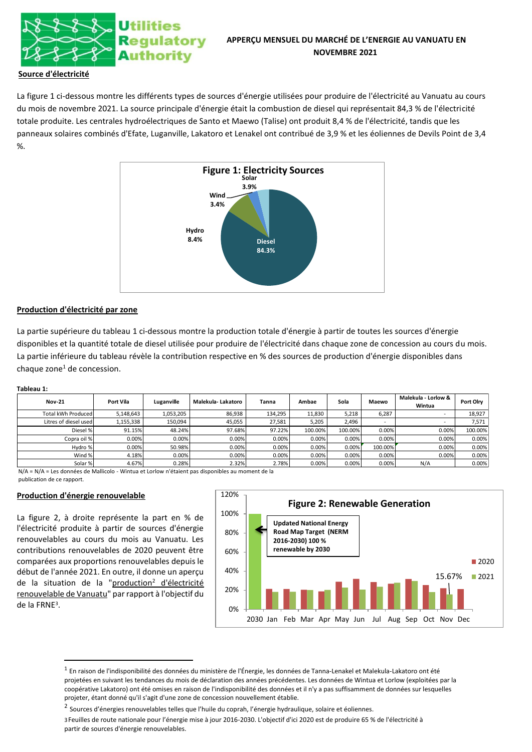

# **APPERÇU MENSUEL DU MARCHÉ DE L'ENERGIE AU VANUATU EN NOVEMBRE 2021**

# **Source d'électricité**

La figure 1 ci-dessous montre les différents types de sources d'énergie utilisées pour produire de l'électricité au Vanuatu au cours du mois de novembre 2021. La source principale d'énergie était la combustion de diesel qui représentait 84,3 % de l'électricité totale produite. Les centrales hydroélectriques de Santo et Maewo (Talise) ont produit 8,4 % de l'électricité, tandis que les panneaux solaires combinés d'Efate, Luganville, Lakatoro et Lenakel ont contribué de 3,9 % et les éoliennes de Devils Point de 3,4 %.



## **Production d'électricité par zone**

La partie supérieure du tableau 1 ci-dessous montre la production totale d'énergie à partir de toutes les sources d'énergie disponibles et la quantité totale de diesel utilisée pour produire de l'électricité dans chaque zone de concession au cours du mois. La partie inférieure du tableau révèle la contribution respective en % des sources de production d'énergie disponibles dans  $chaque zone<sup>1</sup> de concession.$ 

### **Tableau 1:**

| <b>Nov-21</b>         | Port Vila | Luganville | Malekula-Lakatoro | Tanna   | Ambae   | Sola    | Maewo                    | Malekula - Lorlow &<br>Wintua | Port Olry |
|-----------------------|-----------|------------|-------------------|---------|---------|---------|--------------------------|-------------------------------|-----------|
| Total kWh Produced    | 5,148,643 | 1,053,205  | 86,938            | 134,295 | 11.830  | 5,218   | 6,287                    | $\overline{\phantom{a}}$      | 18,927    |
| Litres of diesel used | 1,155,338 | 150,094    | 45,055            | 27,581  | 5,205   | 2,496   | $\overline{\phantom{a}}$ |                               | 7,571     |
| Diesel %              | 91.15%    | 48.24%     | 97.68%            | 97.22%  | 100.00% | 100.00% | 0.00%                    | 0.00%                         | 100.00%   |
| Copra oil %           | 0.00%     | 0.00%      | 0.00%             | 0.00%   | 0.00%   | 0.00%   | 0.00%                    | 0.00%                         | 0.00%     |
| Hydro %               | 0.00%     | 50.98%     | 0.00%             | 0.00%   | 0.00%   | 0.00%   | 100.00%                  | 0.00%                         | 0.00%     |
| Wind %                | 4.18%     | 0.00%      | 0.00%             | 0.00%   | 0.00%   | 0.00%   | 0.00%                    | 0.00%                         | 0.00%     |
| Solar %               | 4.67%     | 0.28%      | 2.32%             | 2.78%   | 0.00%   | 0.00%   | 0.00%                    | N/A                           | 0.00%     |

N/A = N/A = Les données de Mallicolo - Wintua et Lorlow n'étaient pas disponibles au moment de la publication de ce rapport.

### **Production d'énergie renouvelable**

La figure 2, à droite représente la part en % de l'électricité produite à partir de sources d'énergie renouvelables au cours du mois au Vanuatu. Les contributions renouvelables de 2020 peuvent être comparées aux proportions renouvelables depuis le début de l'année 2021. En outre, il donne un aperçu de la situation de la "production<sup>2</sup> d'électricité renouvelable de Vanuatu" par rapport à l'objectif du de la FRNE<sup>3</sup> .



 $^{\rm 1}$  En raison de l'indisponibilité des données du ministère de l'Énergie, les données de Tanna-Lenakel et Malekula-Lakatoro ont été projetées en suivant les tendances du mois de déclaration des années précédentes. Les données de Wintua et Lorlow (exploitées par la coopérative Lakatoro) ont été omises en raison de l'indisponibilité des données et il n'y a pas suffisamment de données sur lesquelles projeter, étant donné qu'il s'agit d'une zone de concession nouvellement établie.

<sup>&</sup>lt;sup>2</sup> Sources d'énergies renouvelables telles que l'huile du coprah, l'énergie hydraulique, solaire et éoliennes.

<sup>3</sup>Feuilles de route nationale pour l'énergie mise à jour 2016-2030. L'objectif d'ici 2020 est de produire 65 % de l'électricité à partir de sources d'énergie renouvelables.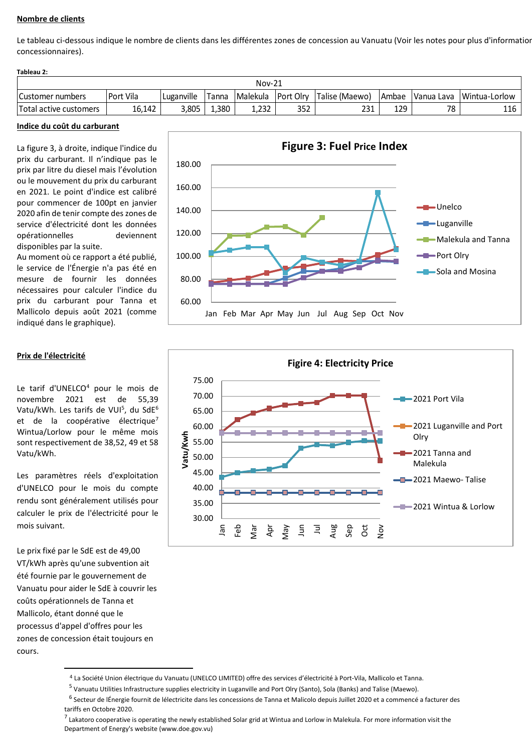# **Nombre de clients**

Le tableau ci-dessous indique le nombre de clients dans les différentes zones de concession au Vanuatu (Voir les notes pour plus d'information concessionnaires).

| Tableau 2:             |           |            |       |            |           |                 |         |            |               |
|------------------------|-----------|------------|-------|------------|-----------|-----------------|---------|------------|---------------|
| $Nov-21$               |           |            |       |            |           |                 |         |            |               |
| Customer numbers       | Port Vila | Luganville | Tanna | l Malekula | Port Olrv | ITalise (Maewo) | l Ambae | Vanua Lava | Wintua-Lorlow |
| Total active customers | 16.142    | 3,805      | ,380  | 1,232      | 352       | 231             | 129     | 78         | 116           |

#### **Indice du coût du carburant**

La figure 3, à droite, indique l'indice du prix du carburant. Il n'indique pas le prix par litre du diesel mais l'évolution ou le mouvement du prix du carburant en 2021. Le point d'indice est calibré pour commencer de 100pt en janvier 2020 afin de tenir compte des zones de service d'électricité dont les données opérationnelles deviennent disponibles par la suite.

Au moment où ce rapport a été publié, le service de l'Énergie n'a pas été en mesure de fournir les données nécessaires pour calculer l'indice du prix du carburant pour Tanna et Mallicolo depuis août 2021 (comme indiqué dans le graphique).



### **Prix de l'électricité**

Le tarif d'UNELCO<sup>4</sup> pour le mois de novembre 2021 est de 55,39 Vatu/kWh. Les tarifs de VUI<sup>5</sup>, du SdE<sup>6</sup> et de la coopérative électrique<sup>7</sup> Wintua/Lorlow pour le même mois sont respectivement de 38,52, 49 et 58 Vatu/kWh.

Les paramètres réels d'exploitation d'UNELCO pour le mois du compte rendu sont généralement utilisés pour calculer le prix de l'électricité pour le mois suivant.

Le prix fixé par le SdE est de 49,00 VT/kWh après qu'une subvention ait été fournie par le gouvernement de Vanuatu pour aider le SdE à couvrir les coûts opérationnels de Tanna et Mallicolo, étant donné que le processus d'appel d'offres pour les zones de concession était toujours en cours.



<sup>4</sup> La Société Union électrique du Vanuatu (UNELCO LIMITED) offre des services d'électricité à Port-Vila, Mallicolo et Tanna.

<sup>&</sup>lt;sup>5</sup> Vanuatu Utilities Infrastructure supplies electricity in Luganville and Port Olry (Santo), Sola (Banks) and Talise (Maewo).

<sup>&</sup>lt;sup>6</sup> Secteur de lÉnergie fournit de lélectricite dans les concessions de Tanna et Malicolo depuis Juillet 2020 et a commencé a facturer des tariffs en Octobre 2020.

<sup>&</sup>lt;sup>7</sup> Lakatoro cooperative is operating the newly established Solar grid at Wintua and Lorlow in Malekula. For more information visit the Department of Energy's website (www.doe.gov.vu)